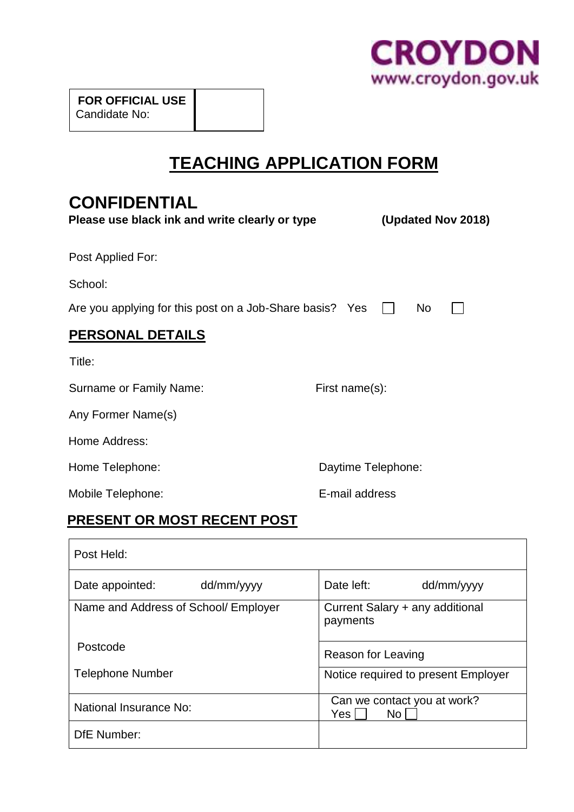

 **FOR OFFICIAL USE** Candidate No:

# **TEACHING APPLICATION FORM**

# **CONFIDENTIAL**

| Please use black ink and write clearly or type           | (Updated Nov 2018) |
|----------------------------------------------------------|--------------------|
| Post Applied For:                                        |                    |
| School:                                                  |                    |
| Are you applying for this post on a Job-Share basis? Yes | N <sub>o</sub>     |
| <b>PERSONAL DETAILS</b>                                  |                    |
| Title:                                                   |                    |
| Surname or Family Name:                                  | First name(s):     |
| Any Former Name(s)                                       |                    |
| Home Address:                                            |                    |
| Home Telephone:                                          | Daytime Telephone: |
| Mobile Telephone:                                        | E-mail address     |

## **PRESENT OR MOST RECENT POST**

| Post Held:                           |                                                       |
|--------------------------------------|-------------------------------------------------------|
| dd/mm/yyyy<br>Date appointed:        | Date left:<br>dd/mm/yyyy                              |
| Name and Address of School/ Employer | Current Salary + any additional<br>payments           |
| Postcode                             | Reason for Leaving                                    |
| <b>Telephone Number</b>              | Notice required to present Employer                   |
| National Insurance No:               | Can we contact you at work?<br>No <sub>1</sub><br>Yes |
| DfE Number:                          |                                                       |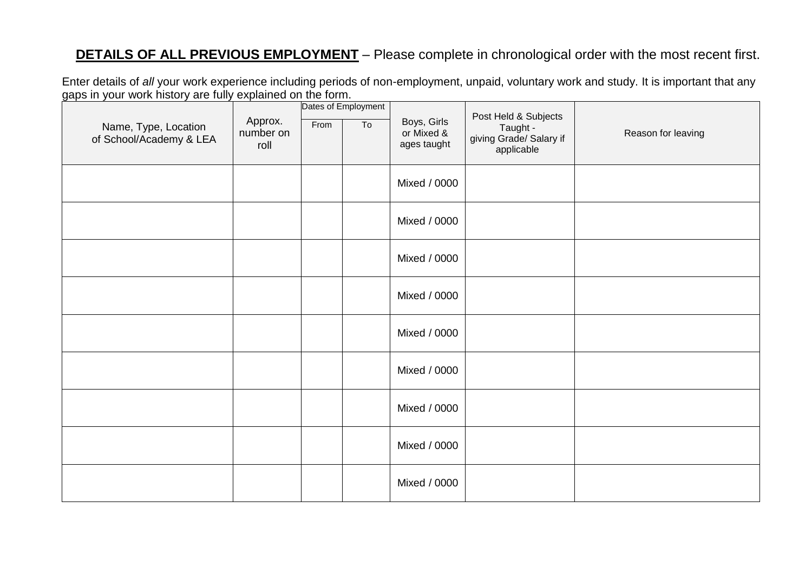## **DETAILS OF ALL PREVIOUS EMPLOYMENT** – Please complete in chronological order with the most recent first.

Enter details of *all* your work experience including periods of non-employment, unpaid, voluntary work and study. It is important that any gaps in your work history are fully explained on the form.

| Name, Type, Location<br>of School/Academy & LEA | Approx.<br>number on<br>roll | From | Dates of Employment<br>To | Boys, Girls<br>or Mixed &<br>ages taught | Post Held & Subjects<br>Taught -<br>giving Grade/ Salary if<br>applicable | Reason for leaving |
|-------------------------------------------------|------------------------------|------|---------------------------|------------------------------------------|---------------------------------------------------------------------------|--------------------|
|                                                 |                              |      |                           | Mixed / 0000                             |                                                                           |                    |
|                                                 |                              |      |                           | Mixed / 0000                             |                                                                           |                    |
|                                                 |                              |      |                           | Mixed / 0000                             |                                                                           |                    |
|                                                 |                              |      |                           | Mixed / 0000                             |                                                                           |                    |
|                                                 |                              |      |                           | Mixed / 0000                             |                                                                           |                    |
|                                                 |                              |      |                           | Mixed / 0000                             |                                                                           |                    |
|                                                 |                              |      |                           | Mixed / 0000                             |                                                                           |                    |
|                                                 |                              |      |                           | Mixed / 0000                             |                                                                           |                    |
|                                                 |                              |      |                           | Mixed / 0000                             |                                                                           |                    |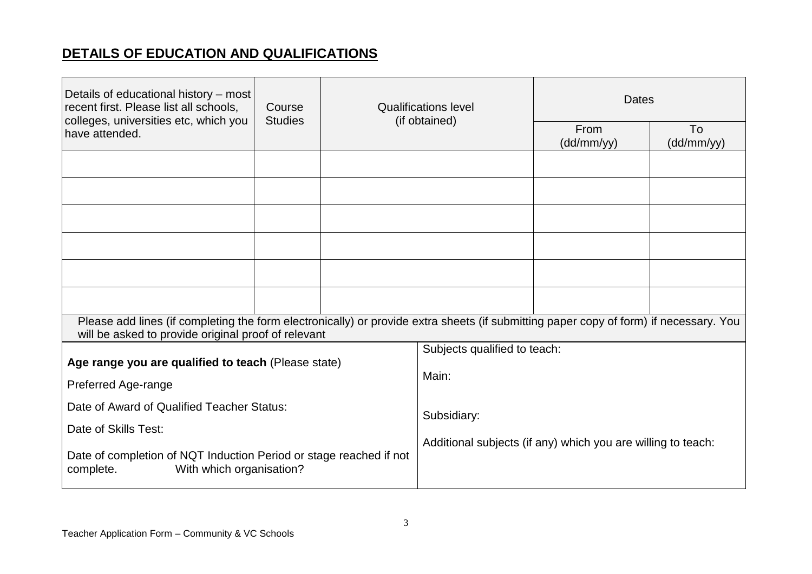## **DETAILS OF EDUCATION AND QUALIFICATIONS**

| Details of educational history – most<br>recent first. Please list all schools,<br>colleges, universities etc, which you                                                                     | Course<br><b>Studies</b> | <b>Qualifications level</b><br>(if obtained) |                                                                             | <b>Dates</b>       |                  |
|----------------------------------------------------------------------------------------------------------------------------------------------------------------------------------------------|--------------------------|----------------------------------------------|-----------------------------------------------------------------------------|--------------------|------------------|
| have attended.                                                                                                                                                                               |                          |                                              |                                                                             | From<br>(dd/mm/yy) | To<br>(dd/mm/yy) |
|                                                                                                                                                                                              |                          |                                              |                                                                             |                    |                  |
|                                                                                                                                                                                              |                          |                                              |                                                                             |                    |                  |
|                                                                                                                                                                                              |                          |                                              |                                                                             |                    |                  |
|                                                                                                                                                                                              |                          |                                              |                                                                             |                    |                  |
|                                                                                                                                                                                              |                          |                                              |                                                                             |                    |                  |
|                                                                                                                                                                                              |                          |                                              |                                                                             |                    |                  |
| Please add lines (if completing the form electronically) or provide extra sheets (if submitting paper copy of form) if necessary. You<br>will be asked to provide original proof of relevant |                          |                                              |                                                                             |                    |                  |
|                                                                                                                                                                                              |                          |                                              | Subjects qualified to teach:                                                |                    |                  |
| Age range you are qualified to teach (Please state)<br>Preferred Age-range                                                                                                                   |                          |                                              | Main:                                                                       |                    |                  |
| Date of Award of Qualified Teacher Status:                                                                                                                                                   |                          |                                              | Subsidiary:<br>Additional subjects (if any) which you are willing to teach: |                    |                  |
| Date of Skills Test:<br>Date of completion of NQT Induction Period or stage reached if not<br>With which organisation?<br>complete.                                                          |                          |                                              |                                                                             |                    |                  |
|                                                                                                                                                                                              |                          |                                              |                                                                             |                    |                  |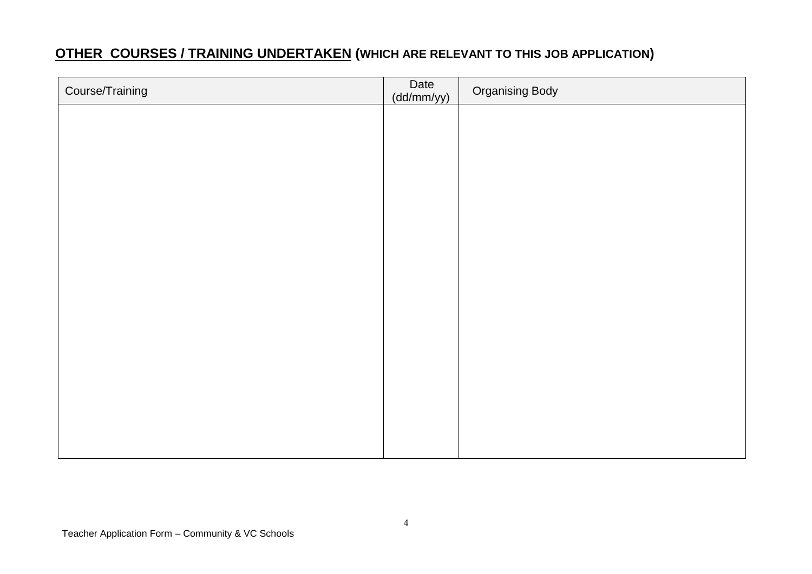## **OTHER COURSES / TRAINING UNDERTAKEN (WHICH ARE RELEVANT TO THIS JOB APPLICATION)**

| Course/Training | Date<br>(dd/mm/yy) | <b>Organising Body</b> |
|-----------------|--------------------|------------------------|
|                 |                    |                        |
|                 |                    |                        |
|                 |                    |                        |
|                 |                    |                        |
|                 |                    |                        |
|                 |                    |                        |
|                 |                    |                        |
|                 |                    |                        |
|                 |                    |                        |
|                 |                    |                        |
|                 |                    |                        |
|                 |                    |                        |
|                 |                    |                        |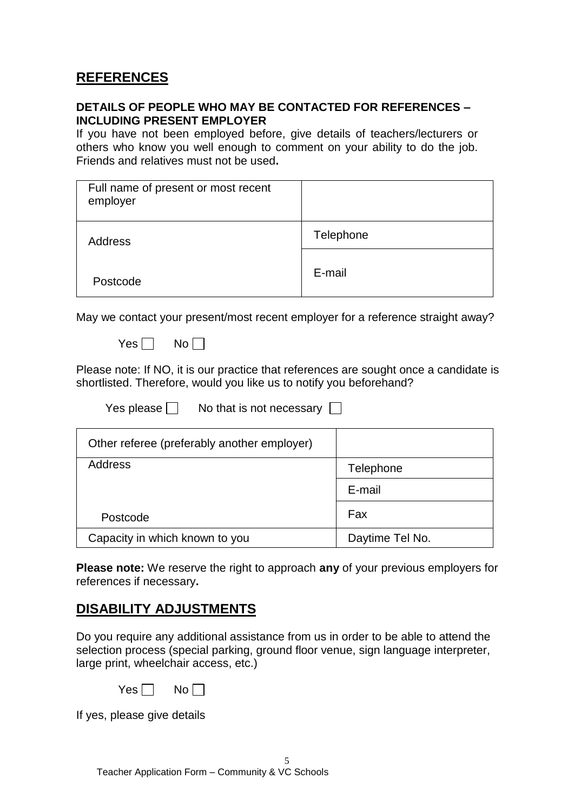### **REFERENCES**

#### **DETAILS OF PEOPLE WHO MAY BE CONTACTED FOR REFERENCES – INCLUDING PRESENT EMPLOYER**

If you have not been employed before, give details of teachers/lecturers or others who know you well enough to comment on your ability to do the job. Friends and relatives must not be used**.**

| Full name of present or most recent<br>employer |           |
|-------------------------------------------------|-----------|
| <b>Address</b>                                  | Telephone |
| Postcode                                        | E-mail    |

May we contact your present/most recent employer for a reference straight away?

 $Yes \Box No \Box$ 

Please note: If NO, it is our practice that references are sought once a candidate is shortlisted. Therefore, would you like us to notify you beforehand?

| Yes please [ | No that is not necessary |  |
|--------------|--------------------------|--|
|--------------|--------------------------|--|

| Other referee (preferably another employer) |                 |
|---------------------------------------------|-----------------|
| Address                                     | Telephone       |
|                                             | E-mail          |
| Postcode                                    | Fax             |
| Capacity in which known to you              | Daytime Tel No. |

**Please note:** We reserve the right to approach **any** of your previous employers for references if necessary**.**

#### **DISABILITY ADJUSTMENTS**

Do you require any additional assistance from us in order to be able to attend the selection process (special parking, ground floor venue, sign language interpreter, large print, wheelchair access, etc.)

| Yes <sub>i</sub> |  | No |  |
|------------------|--|----|--|
|------------------|--|----|--|

If yes, please give details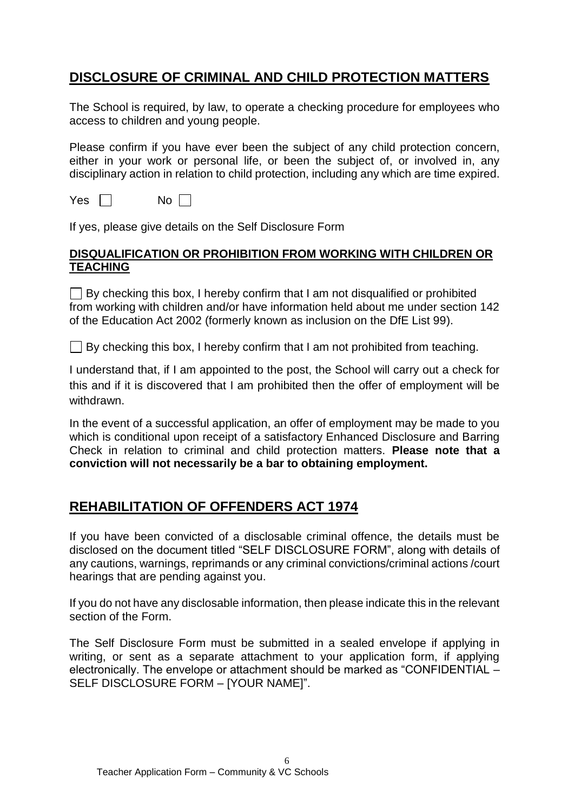## **DISCLOSURE OF CRIMINAL AND CHILD PROTECTION MATTERS**

The School is required, by law, to operate a checking procedure for employees who access to children and young people.

Please confirm if you have ever been the subject of any child protection concern, either in your work or personal life, or been the subject of, or involved in, any disciplinary action in relation to child protection, including any which are time expired.

 $Yes \Box \qquad No \Box$ 

If yes, please give details on the Self Disclosure Form

#### **DISQUALIFICATION OR PROHIBITION FROM WORKING WITH CHILDREN OR TEACHING**

 $\Box$  By checking this box, I hereby confirm that I am not disqualified or prohibited from working with children and/or have information held about me under section 142 of the Education Act 2002 (formerly known as inclusion on the DfE List 99).

 $\Box$  By checking this box, I hereby confirm that I am not prohibited from teaching.

I understand that, if I am appointed to the post, the School will carry out a check for this and if it is discovered that I am prohibited then the offer of employment will be withdrawn.

In the event of a successful application, an offer of employment may be made to you which is conditional upon receipt of a satisfactory Enhanced Disclosure and Barring Check in relation to criminal and child protection matters. **Please note that a conviction will not necessarily be a bar to obtaining employment.** 

### **REHABILITATION OF OFFENDERS ACT 1974**

If you have been convicted of a disclosable criminal offence, the details must be disclosed on the document titled "SELF DISCLOSURE FORM", along with details of any cautions, warnings, reprimands or any criminal convictions/criminal actions /court hearings that are pending against you.

If you do not have any disclosable information, then please indicate this in the relevant section of the Form.

The Self Disclosure Form must be submitted in a sealed envelope if applying in writing, or sent as a separate attachment to your application form, if applying electronically. The envelope or attachment should be marked as "CONFIDENTIAL – SELF DISCLOSURE FORM – [YOUR NAME]".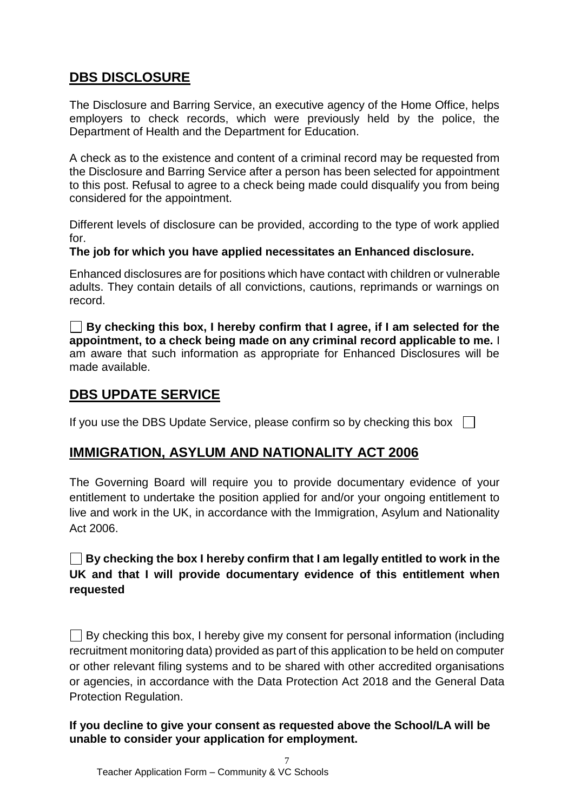### **DBS DISCLOSURE**

The Disclosure and Barring Service, an executive agency of the Home Office, helps employers to check records, which were previously held by the police, the Department of Health and the Department for Education.

A check as to the existence and content of a criminal record may be requested from the Disclosure and Barring Service after a person has been selected for appointment to this post. Refusal to agree to a check being made could disqualify you from being considered for the appointment.

Different levels of disclosure can be provided, according to the type of work applied for.

#### **The job for which you have applied necessitates an Enhanced disclosure.**

Enhanced disclosures are for positions which have contact with children or vulnerable adults. They contain details of all convictions, cautions, reprimands or warnings on record.

**By checking this box, I hereby confirm that I agree, if I am selected for the appointment, to a check being made on any criminal record applicable to me.** I am aware that such information as appropriate for Enhanced Disclosures will be made available.

#### **DBS UPDATE SERVICE**

If you use the DBS Update Service, please confirm so by checking this box  $\Box$ 

### **IMMIGRATION, ASYLUM AND NATIONALITY ACT 2006**

The Governing Board will require you to provide documentary evidence of your entitlement to undertake the position applied for and/or your ongoing entitlement to live and work in the UK, in accordance with the Immigration, Asylum and Nationality Act 2006.

#### **By checking the box I hereby confirm that I am legally entitled to work in the UK and that I will provide documentary evidence of this entitlement when requested**

 $\Box$  By checking this box, I hereby give my consent for personal information (including recruitment monitoring data) provided as part of this application to be held on computer or other relevant filing systems and to be shared with other accredited organisations or agencies, in accordance with the Data Protection Act 2018 and the General Data Protection Regulation.

**If you decline to give your consent as requested above the School/LA will be unable to consider your application for employment.**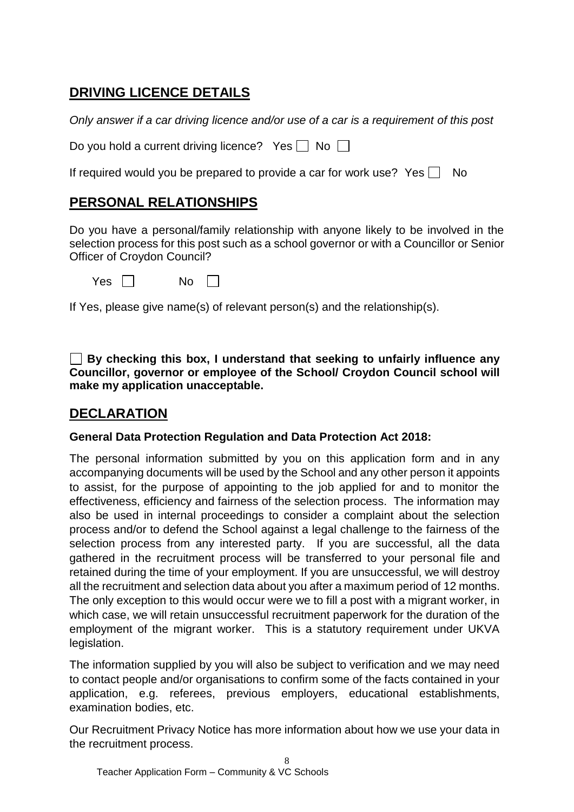## **DRIVING LICENCE DETAILS**

*Only answer if a car driving licence and/or use of a car is a requirement of this post*

| Do you hold a current driving licence? Yes $\Box$ No $\Box$ |  |  |  |
|-------------------------------------------------------------|--|--|--|
|                                                             |  |  |  |

If required would you be prepared to provide a car for work use? Yes  $\Box$  No

## **PERSONAL RELATIONSHIPS**

Do you have a personal/family relationship with anyone likely to be involved in the selection process for this post such as a school governor or with a Councillor or Senior Officer of Croydon Council?

|  | Y<br>es | No |
|--|---------|----|
|--|---------|----|

If Yes, please give name(s) of relevant person(s) and the relationship(s).

**By checking this box, I understand that seeking to unfairly influence any Councillor, governor or employee of the School/ Croydon Council school will make my application unacceptable.**

## **DECLARATION**

#### **General Data Protection Regulation and Data Protection Act 2018:**

The personal information submitted by you on this application form and in any accompanying documents will be used by the School and any other person it appoints to assist, for the purpose of appointing to the job applied for and to monitor the effectiveness, efficiency and fairness of the selection process. The information may also be used in internal proceedings to consider a complaint about the selection process and/or to defend the School against a legal challenge to the fairness of the selection process from any interested party. If you are successful, all the data gathered in the recruitment process will be transferred to your personal file and retained during the time of your employment. If you are unsuccessful, we will destroy all the recruitment and selection data about you after a maximum period of 12 months. The only exception to this would occur were we to fill a post with a migrant worker, in which case, we will retain unsuccessful recruitment paperwork for the duration of the employment of the migrant worker. This is a statutory requirement under UKVA legislation.

The information supplied by you will also be subject to verification and we may need to contact people and/or organisations to confirm some of the facts contained in your application, e.g. referees, previous employers, educational establishments, examination bodies, etc.

Our Recruitment Privacy Notice has more information about how we use your data in the recruitment process.